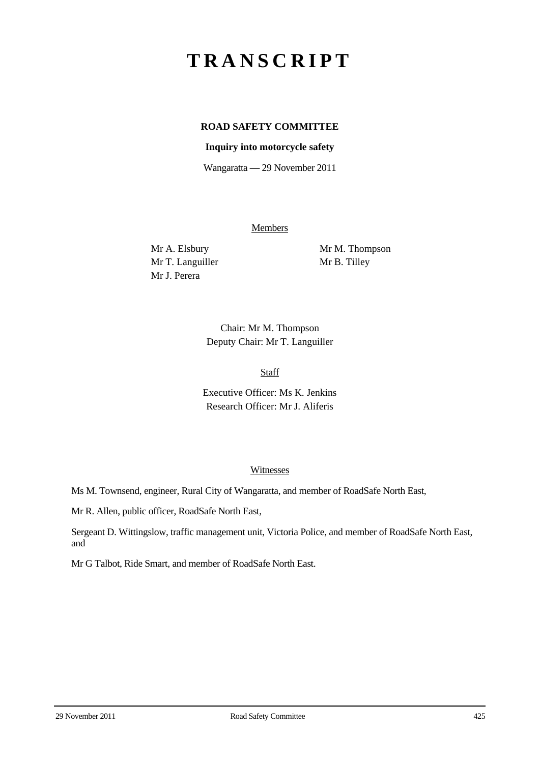# **TRANSCRIPT**

# **ROAD SAFETY COMMITTEE**

## **Inquiry into motorcycle safety**

Wangaratta — 29 November 2011

Members

Mr T. Languiller Mr B. Tilley Mr J. Perera

Mr A. Elsbury Mr M. Thompson

Chair: Mr M. Thompson Deputy Chair: Mr T. Languiller

Staff

Executive Officer: Ms K. Jenkins Research Officer: Mr J. Aliferis

#### Witnesses

Ms M. Townsend, engineer, Rural City of Wangaratta, and member of RoadSafe North East,

Mr R. Allen, public officer, RoadSafe North East,

Sergeant D. Wittingslow, traffic management unit, Victoria Police, and member of RoadSafe North East, and

Mr G Talbot, Ride Smart, and member of RoadSafe North East.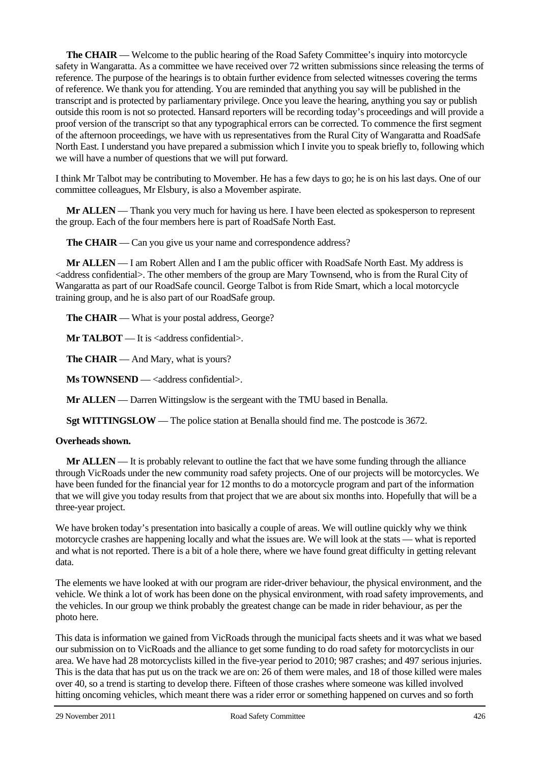**The CHAIR** — Welcome to the public hearing of the Road Safety Committee's inquiry into motorcycle safety in Wangaratta. As a committee we have received over 72 written submissions since releasing the terms of reference. The purpose of the hearings is to obtain further evidence from selected witnesses covering the terms of reference. We thank you for attending. You are reminded that anything you say will be published in the transcript and is protected by parliamentary privilege. Once you leave the hearing, anything you say or publish outside this room is not so protected. Hansard reporters will be recording today's proceedings and will provide a proof version of the transcript so that any typographical errors can be corrected. To commence the first segment of the afternoon proceedings, we have with us representatives from the Rural City of Wangaratta and RoadSafe North East. I understand you have prepared a submission which I invite you to speak briefly to, following which we will have a number of questions that we will put forward.

I think Mr Talbot may be contributing to Movember. He has a few days to go; he is on his last days. One of our committee colleagues, Mr Elsbury, is also a Movember aspirate.

**Mr ALLEN** — Thank you very much for having us here. I have been elected as spokesperson to represent the group. Each of the four members here is part of RoadSafe North East.

**The CHAIR** — Can you give us your name and correspondence address?

**Mr ALLEN** — I am Robert Allen and I am the public officer with RoadSafe North East. My address is <address confidential>. The other members of the group are Mary Townsend, who is from the Rural City of Wangaratta as part of our RoadSafe council. George Talbot is from Ride Smart, which a local motorcycle training group, and he is also part of our RoadSafe group.

**The CHAIR** — What is your postal address, George?

**Mr TALBOT** — It is <address confidential>.

**The CHAIR** — And Mary, what is yours?

**Ms TOWNSEND** — <address confidential>.

**Mr ALLEN** — Darren Wittingslow is the sergeant with the TMU based in Benalla.

**Sgt WITTINGSLOW** — The police station at Benalla should find me. The postcode is 3672.

#### **Overheads shown.**

**Mr ALLEN** — It is probably relevant to outline the fact that we have some funding through the alliance through VicRoads under the new community road safety projects. One of our projects will be motorcycles. We have been funded for the financial year for 12 months to do a motorcycle program and part of the information that we will give you today results from that project that we are about six months into. Hopefully that will be a three-year project.

We have broken today's presentation into basically a couple of areas. We will outline quickly why we think motorcycle crashes are happening locally and what the issues are. We will look at the stats — what is reported and what is not reported. There is a bit of a hole there, where we have found great difficulty in getting relevant data.

The elements we have looked at with our program are rider-driver behaviour, the physical environment, and the vehicle. We think a lot of work has been done on the physical environment, with road safety improvements, and the vehicles. In our group we think probably the greatest change can be made in rider behaviour, as per the photo here.

This data is information we gained from VicRoads through the municipal facts sheets and it was what we based our submission on to VicRoads and the alliance to get some funding to do road safety for motorcyclists in our area. We have had 28 motorcyclists killed in the five-year period to 2010; 987 crashes; and 497 serious injuries. This is the data that has put us on the track we are on: 26 of them were males, and 18 of those killed were males over 40, so a trend is starting to develop there. Fifteen of those crashes where someone was killed involved hitting oncoming vehicles, which meant there was a rider error or something happened on curves and so forth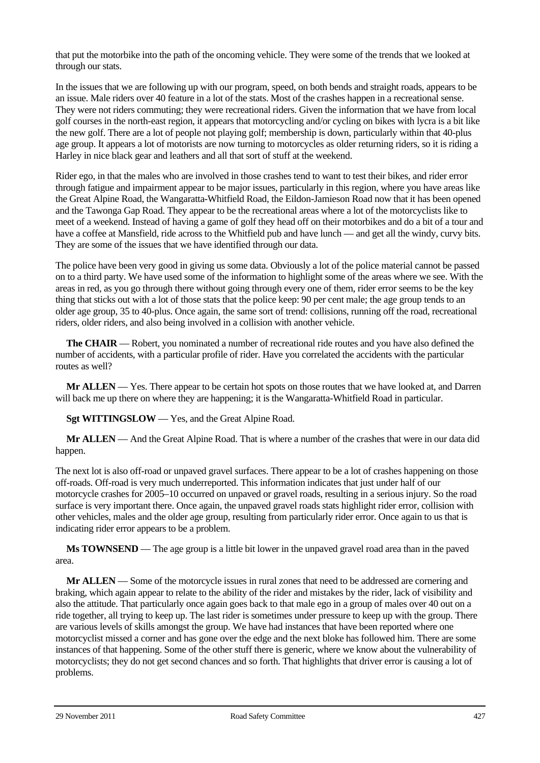that put the motorbike into the path of the oncoming vehicle. They were some of the trends that we looked at through our stats.

In the issues that we are following up with our program, speed, on both bends and straight roads, appears to be an issue. Male riders over 40 feature in a lot of the stats. Most of the crashes happen in a recreational sense. They were not riders commuting; they were recreational riders. Given the information that we have from local golf courses in the north-east region, it appears that motorcycling and/or cycling on bikes with lycra is a bit like the new golf. There are a lot of people not playing golf; membership is down, particularly within that 40-plus age group. It appears a lot of motorists are now turning to motorcycles as older returning riders, so it is riding a Harley in nice black gear and leathers and all that sort of stuff at the weekend.

Rider ego, in that the males who are involved in those crashes tend to want to test their bikes, and rider error through fatigue and impairment appear to be major issues, particularly in this region, where you have areas like the Great Alpine Road, the Wangaratta-Whitfield Road, the Eildon-Jamieson Road now that it has been opened and the Tawonga Gap Road. They appear to be the recreational areas where a lot of the motorcyclists like to meet of a weekend. Instead of having a game of golf they head off on their motorbikes and do a bit of a tour and have a coffee at Mansfield, ride across to the Whitfield pub and have lunch — and get all the windy, curvy bits. They are some of the issues that we have identified through our data.

The police have been very good in giving us some data. Obviously a lot of the police material cannot be passed on to a third party. We have used some of the information to highlight some of the areas where we see. With the areas in red, as you go through there without going through every one of them, rider error seems to be the key thing that sticks out with a lot of those stats that the police keep: 90 per cent male; the age group tends to an older age group, 35 to 40-plus. Once again, the same sort of trend: collisions, running off the road, recreational riders, older riders, and also being involved in a collision with another vehicle.

**The CHAIR** — Robert, you nominated a number of recreational ride routes and you have also defined the number of accidents, with a particular profile of rider. Have you correlated the accidents with the particular routes as well?

**Mr ALLEN** — Yes. There appear to be certain hot spots on those routes that we have looked at, and Darren will back me up there on where they are happening; it is the Wangaratta-Whitfield Road in particular.

**Sgt WITTINGSLOW** — Yes, and the Great Alpine Road.

**Mr ALLEN** — And the Great Alpine Road. That is where a number of the crashes that were in our data did happen.

The next lot is also off-road or unpaved gravel surfaces. There appear to be a lot of crashes happening on those off-roads. Off-road is very much underreported. This information indicates that just under half of our motorcycle crashes for 2005–10 occurred on unpaved or gravel roads, resulting in a serious injury. So the road surface is very important there. Once again, the unpaved gravel roads stats highlight rider error, collision with other vehicles, males and the older age group, resulting from particularly rider error. Once again to us that is indicating rider error appears to be a problem.

**Ms TOWNSEND** — The age group is a little bit lower in the unpaved gravel road area than in the paved area.

**Mr ALLEN** — Some of the motorcycle issues in rural zones that need to be addressed are cornering and braking, which again appear to relate to the ability of the rider and mistakes by the rider, lack of visibility and also the attitude. That particularly once again goes back to that male ego in a group of males over 40 out on a ride together, all trying to keep up. The last rider is sometimes under pressure to keep up with the group. There are various levels of skills amongst the group. We have had instances that have been reported where one motorcyclist missed a corner and has gone over the edge and the next bloke has followed him. There are some instances of that happening. Some of the other stuff there is generic, where we know about the vulnerability of motorcyclists; they do not get second chances and so forth. That highlights that driver error is causing a lot of problems.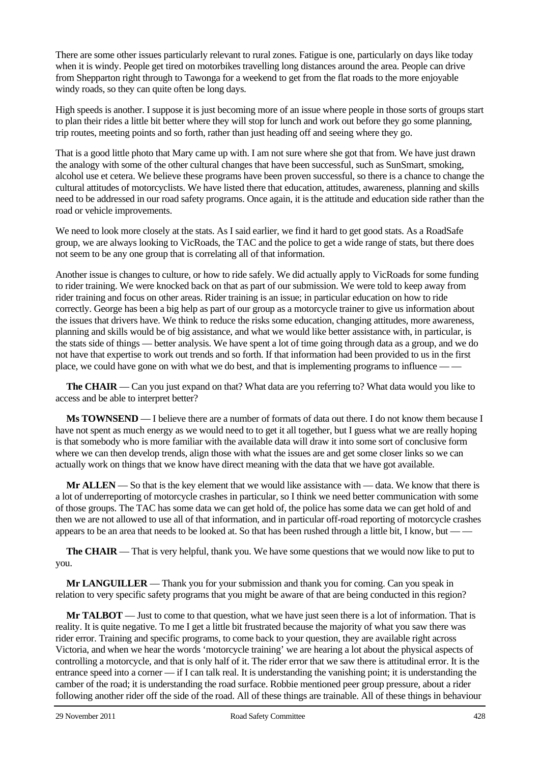There are some other issues particularly relevant to rural zones. Fatigue is one, particularly on days like today when it is windy. People get tired on motorbikes travelling long distances around the area. People can drive from Shepparton right through to Tawonga for a weekend to get from the flat roads to the more enjoyable windy roads, so they can quite often be long days.

High speeds is another. I suppose it is just becoming more of an issue where people in those sorts of groups start to plan their rides a little bit better where they will stop for lunch and work out before they go some planning, trip routes, meeting points and so forth, rather than just heading off and seeing where they go.

That is a good little photo that Mary came up with. I am not sure where she got that from. We have just drawn the analogy with some of the other cultural changes that have been successful, such as SunSmart, smoking, alcohol use et cetera. We believe these programs have been proven successful, so there is a chance to change the cultural attitudes of motorcyclists. We have listed there that education, attitudes, awareness, planning and skills need to be addressed in our road safety programs. Once again, it is the attitude and education side rather than the road or vehicle improvements.

We need to look more closely at the stats. As I said earlier, we find it hard to get good stats. As a RoadSafe group, we are always looking to VicRoads, the TAC and the police to get a wide range of stats, but there does not seem to be any one group that is correlating all of that information.

Another issue is changes to culture, or how to ride safely. We did actually apply to VicRoads for some funding to rider training. We were knocked back on that as part of our submission. We were told to keep away from rider training and focus on other areas. Rider training is an issue; in particular education on how to ride correctly. George has been a big help as part of our group as a motorcycle trainer to give us information about the issues that drivers have. We think to reduce the risks some education, changing attitudes, more awareness, planning and skills would be of big assistance, and what we would like better assistance with, in particular, is the stats side of things — better analysis. We have spent a lot of time going through data as a group, and we do not have that expertise to work out trends and so forth. If that information had been provided to us in the first place, we could have gone on with what we do best, and that is implementing programs to influence — —

**The CHAIR** — Can you just expand on that? What data are you referring to? What data would you like to access and be able to interpret better?

**Ms TOWNSEND** — I believe there are a number of formats of data out there. I do not know them because I have not spent as much energy as we would need to to get it all together, but I guess what we are really hoping is that somebody who is more familiar with the available data will draw it into some sort of conclusive form where we can then develop trends, align those with what the issues are and get some closer links so we can actually work on things that we know have direct meaning with the data that we have got available.

**Mr ALLEN** — So that is the key element that we would like assistance with — data. We know that there is a lot of underreporting of motorcycle crashes in particular, so I think we need better communication with some of those groups. The TAC has some data we can get hold of, the police has some data we can get hold of and then we are not allowed to use all of that information, and in particular off-road reporting of motorcycle crashes appears to be an area that needs to be looked at. So that has been rushed through a little bit, I know, but —

**The CHAIR** — That is very helpful, thank you. We have some questions that we would now like to put to you.

**Mr LANGUILLER** — Thank you for your submission and thank you for coming. Can you speak in relation to very specific safety programs that you might be aware of that are being conducted in this region?

**Mr TALBOT** — Just to come to that question, what we have just seen there is a lot of information. That is reality. It is quite negative. To me I get a little bit frustrated because the majority of what you saw there was rider error. Training and specific programs, to come back to your question, they are available right across Victoria, and when we hear the words 'motorcycle training' we are hearing a lot about the physical aspects of controlling a motorcycle, and that is only half of it. The rider error that we saw there is attitudinal error. It is the entrance speed into a corner — if I can talk real. It is understanding the vanishing point; it is understanding the camber of the road; it is understanding the road surface. Robbie mentioned peer group pressure, about a rider following another rider off the side of the road. All of these things are trainable. All of these things in behaviour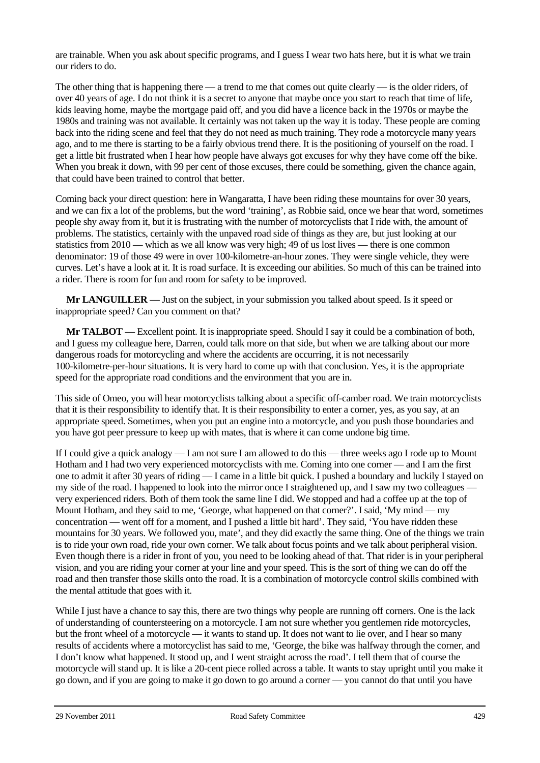are trainable. When you ask about specific programs, and I guess I wear two hats here, but it is what we train our riders to do.

The other thing that is happening there — a trend to me that comes out quite clearly — is the older riders, of over 40 years of age. I do not think it is a secret to anyone that maybe once you start to reach that time of life, kids leaving home, maybe the mortgage paid off, and you did have a licence back in the 1970s or maybe the 1980s and training was not available. It certainly was not taken up the way it is today. These people are coming back into the riding scene and feel that they do not need as much training. They rode a motorcycle many years ago, and to me there is starting to be a fairly obvious trend there. It is the positioning of yourself on the road. I get a little bit frustrated when I hear how people have always got excuses for why they have come off the bike. When you break it down, with 99 per cent of those excuses, there could be something, given the chance again, that could have been trained to control that better.

Coming back your direct question: here in Wangaratta, I have been riding these mountains for over 30 years, and we can fix a lot of the problems, but the word 'training', as Robbie said, once we hear that word, sometimes people shy away from it, but it is frustrating with the number of motorcyclists that I ride with, the amount of problems. The statistics, certainly with the unpaved road side of things as they are, but just looking at our statistics from 2010 — which as we all know was very high; 49 of us lost lives — there is one common denominator: 19 of those 49 were in over 100-kilometre-an-hour zones. They were single vehicle, they were curves. Let's have a look at it. It is road surface. It is exceeding our abilities. So much of this can be trained into a rider. There is room for fun and room for safety to be improved.

**Mr LANGUILLER** — Just on the subject, in your submission you talked about speed. Is it speed or inappropriate speed? Can you comment on that?

**Mr TALBOT** — Excellent point. It is inappropriate speed. Should I say it could be a combination of both, and I guess my colleague here, Darren, could talk more on that side, but when we are talking about our more dangerous roads for motorcycling and where the accidents are occurring, it is not necessarily 100-kilometre-per-hour situations. It is very hard to come up with that conclusion. Yes, it is the appropriate speed for the appropriate road conditions and the environment that you are in.

This side of Omeo, you will hear motorcyclists talking about a specific off-camber road. We train motorcyclists that it is their responsibility to identify that. It is their responsibility to enter a corner, yes, as you say, at an appropriate speed. Sometimes, when you put an engine into a motorcycle, and you push those boundaries and you have got peer pressure to keep up with mates, that is where it can come undone big time.

If I could give a quick analogy — I am not sure I am allowed to do this — three weeks ago I rode up to Mount Hotham and I had two very experienced motorcyclists with me. Coming into one corner — and I am the first one to admit it after 30 years of riding — I came in a little bit quick. I pushed a boundary and luckily I stayed on my side of the road. I happened to look into the mirror once I straightened up, and I saw my two colleagues – very experienced riders. Both of them took the same line I did. We stopped and had a coffee up at the top of Mount Hotham, and they said to me, 'George, what happened on that corner?'. I said, 'My mind — my concentration — went off for a moment, and I pushed a little bit hard'. They said, 'You have ridden these mountains for 30 years. We followed you, mate', and they did exactly the same thing. One of the things we train is to ride your own road, ride your own corner. We talk about focus points and we talk about peripheral vision. Even though there is a rider in front of you, you need to be looking ahead of that. That rider is in your peripheral vision, and you are riding your corner at your line and your speed. This is the sort of thing we can do off the road and then transfer those skills onto the road. It is a combination of motorcycle control skills combined with the mental attitude that goes with it.

While I just have a chance to say this, there are two things why people are running off corners. One is the lack of understanding of countersteering on a motorcycle. I am not sure whether you gentlemen ride motorcycles, but the front wheel of a motorcycle — it wants to stand up. It does not want to lie over, and I hear so many results of accidents where a motorcyclist has said to me, 'George, the bike was halfway through the corner, and I don't know what happened. It stood up, and I went straight across the road'. I tell them that of course the motorcycle will stand up. It is like a 20-cent piece rolled across a table. It wants to stay upright until you make it go down, and if you are going to make it go down to go around a corner — you cannot do that until you have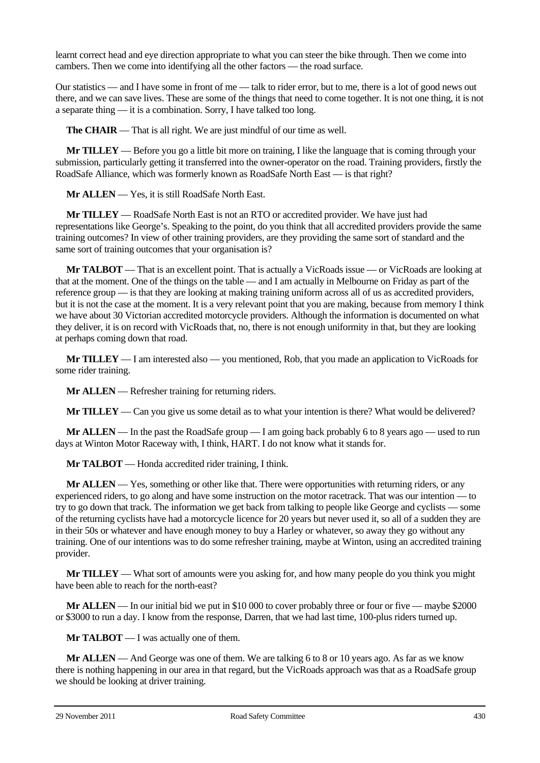learnt correct head and eye direction appropriate to what you can steer the bike through. Then we come into cambers. Then we come into identifying all the other factors — the road surface.

Our statistics — and I have some in front of me — talk to rider error, but to me, there is a lot of good news out there, and we can save lives. These are some of the things that need to come together. It is not one thing, it is not a separate thing — it is a combination. Sorry, I have talked too long.

**The CHAIR** — That is all right. We are just mindful of our time as well.

**Mr TILLEY** — Before you go a little bit more on training, I like the language that is coming through your submission, particularly getting it transferred into the owner-operator on the road. Training providers, firstly the RoadSafe Alliance, which was formerly known as RoadSafe North East — is that right?

**Mr ALLEN** — Yes, it is still RoadSafe North East.

**Mr TILLEY** — RoadSafe North East is not an RTO or accredited provider. We have just had representations like George's. Speaking to the point, do you think that all accredited providers provide the same training outcomes? In view of other training providers, are they providing the same sort of standard and the same sort of training outcomes that your organisation is?

**Mr TALBOT** — That is an excellent point. That is actually a VicRoads issue — or VicRoads are looking at that at the moment. One of the things on the table — and I am actually in Melbourne on Friday as part of the reference group — is that they are looking at making training uniform across all of us as accredited providers, but it is not the case at the moment. It is a very relevant point that you are making, because from memory I think we have about 30 Victorian accredited motorcycle providers. Although the information is documented on what they deliver, it is on record with VicRoads that, no, there is not enough uniformity in that, but they are looking at perhaps coming down that road.

**Mr TILLEY** — I am interested also — you mentioned, Rob, that you made an application to VicRoads for some rider training.

**Mr ALLEN** — Refresher training for returning riders.

**Mr TILLEY** — Can you give us some detail as to what your intention is there? What would be delivered?

**Mr ALLEN** — In the past the RoadSafe group — I am going back probably 6 to 8 years ago — used to run days at Winton Motor Raceway with, I think, HART. I do not know what it stands for.

**Mr TALBOT** — Honda accredited rider training, I think.

**Mr ALLEN** — Yes, something or other like that. There were opportunities with returning riders, or any experienced riders, to go along and have some instruction on the motor racetrack. That was our intention — to try to go down that track. The information we get back from talking to people like George and cyclists — some of the returning cyclists have had a motorcycle licence for 20 years but never used it, so all of a sudden they are in their 50s or whatever and have enough money to buy a Harley or whatever, so away they go without any training. One of our intentions was to do some refresher training, maybe at Winton, using an accredited training provider.

**Mr TILLEY** — What sort of amounts were you asking for, and how many people do you think you might have been able to reach for the north-east?

**Mr ALLEN** — In our initial bid we put in \$10 000 to cover probably three or four or five — maybe \$2000 or \$3000 to run a day. I know from the response, Darren, that we had last time, 100-plus riders turned up.

**Mr TALBOT** — I was actually one of them.

**Mr ALLEN** — And George was one of them. We are talking 6 to 8 or 10 years ago. As far as we know there is nothing happening in our area in that regard, but the VicRoads approach was that as a RoadSafe group we should be looking at driver training.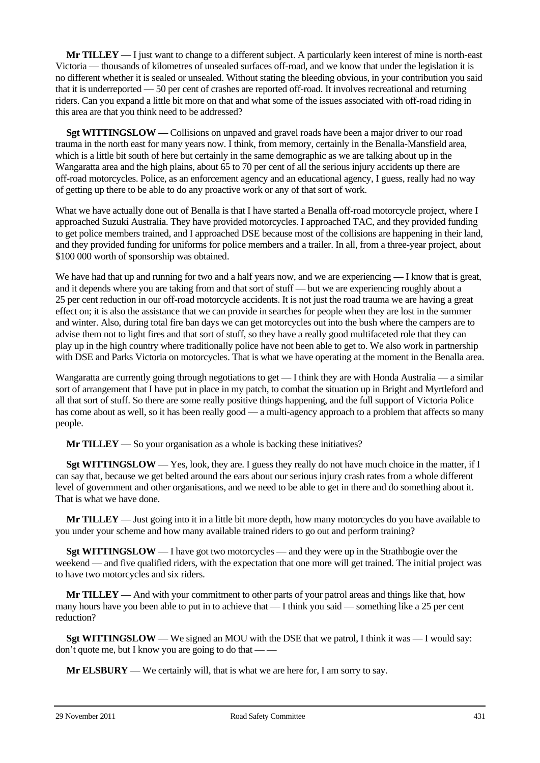**Mr TILLEY** — I just want to change to a different subject. A particularly keen interest of mine is north-east Victoria — thousands of kilometres of unsealed surfaces off-road, and we know that under the legislation it is no different whether it is sealed or unsealed. Without stating the bleeding obvious, in your contribution you said that it is underreported — 50 per cent of crashes are reported off-road. It involves recreational and returning riders. Can you expand a little bit more on that and what some of the issues associated with off-road riding in this area are that you think need to be addressed?

**Sgt WITTINGSLOW** — Collisions on unpaved and gravel roads have been a major driver to our road trauma in the north east for many years now. I think, from memory, certainly in the Benalla-Mansfield area, which is a little bit south of here but certainly in the same demographic as we are talking about up in the Wangaratta area and the high plains, about 65 to 70 per cent of all the serious injury accidents up there are off-road motorcycles. Police, as an enforcement agency and an educational agency, I guess, really had no way of getting up there to be able to do any proactive work or any of that sort of work.

What we have actually done out of Benalla is that I have started a Benalla off-road motorcycle project, where I approached Suzuki Australia. They have provided motorcycles. I approached TAC, and they provided funding to get police members trained, and I approached DSE because most of the collisions are happening in their land, and they provided funding for uniforms for police members and a trailer. In all, from a three-year project, about \$100 000 worth of sponsorship was obtained.

We have had that up and running for two and a half years now, and we are experiencing — I know that is great, and it depends where you are taking from and that sort of stuff — but we are experiencing roughly about a 25 per cent reduction in our off-road motorcycle accidents. It is not just the road trauma we are having a great effect on; it is also the assistance that we can provide in searches for people when they are lost in the summer and winter. Also, during total fire ban days we can get motorcycles out into the bush where the campers are to advise them not to light fires and that sort of stuff, so they have a really good multifaceted role that they can play up in the high country where traditionally police have not been able to get to. We also work in partnership with DSE and Parks Victoria on motorcycles. That is what we have operating at the moment in the Benalla area.

Wangaratta are currently going through negotiations to get — I think they are with Honda Australia — a similar sort of arrangement that I have put in place in my patch, to combat the situation up in Bright and Myrtleford and all that sort of stuff. So there are some really positive things happening, and the full support of Victoria Police has come about as well, so it has been really good — a multi-agency approach to a problem that affects so many people.

**Mr TILLEY** — So your organisation as a whole is backing these initiatives?

**Sgt WITTINGSLOW** — Yes, look, they are. I guess they really do not have much choice in the matter, if I can say that, because we get belted around the ears about our serious injury crash rates from a whole different level of government and other organisations, and we need to be able to get in there and do something about it. That is what we have done.

**Mr TILLEY** — Just going into it in a little bit more depth, how many motorcycles do you have available to you under your scheme and how many available trained riders to go out and perform training?

**Sgt WITTINGSLOW** — I have got two motorcycles — and they were up in the Strathbogie over the weekend — and five qualified riders, with the expectation that one more will get trained. The initial project was to have two motorcycles and six riders.

**Mr TILLEY** — And with your commitment to other parts of your patrol areas and things like that, how many hours have you been able to put in to achieve that — I think you said — something like a 25 per cent reduction?

**Sgt WITTINGSLOW** — We signed an MOU with the DSE that we patrol, I think it was — I would say: don't quote me, but I know you are going to do that  $-\frac{1}{x}$ 

**Mr ELSBURY** — We certainly will, that is what we are here for, I am sorry to say.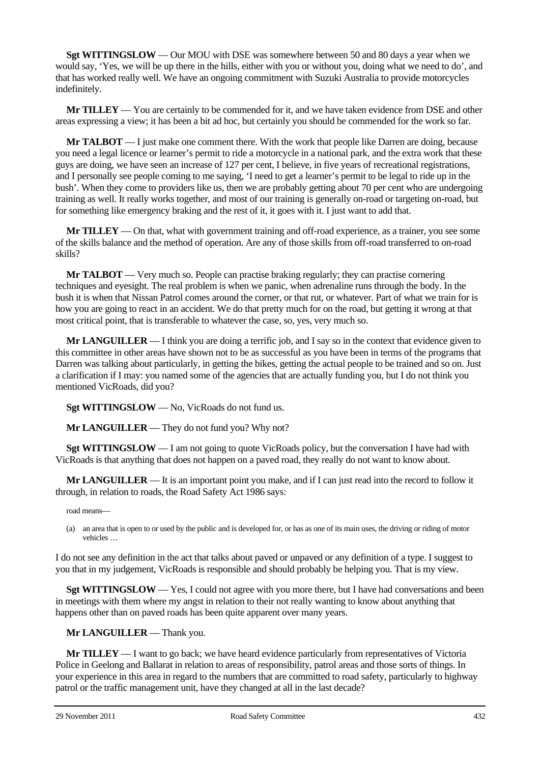**Sgt WITTINGSLOW** — Our MOU with DSE was somewhere between 50 and 80 days a year when we would say, 'Yes, we will be up there in the hills, either with you or without you, doing what we need to do', and that has worked really well. We have an ongoing commitment with Suzuki Australia to provide motorcycles indefinitely.

**Mr TILLEY** — You are certainly to be commended for it, and we have taken evidence from DSE and other areas expressing a view; it has been a bit ad hoc, but certainly you should be commended for the work so far.

**Mr TALBOT** — I just make one comment there. With the work that people like Darren are doing, because you need a legal licence or learner's permit to ride a motorcycle in a national park, and the extra work that these guys are doing, we have seen an increase of 127 per cent, I believe, in five years of recreational registrations, and I personally see people coming to me saying, 'I need to get a learner's permit to be legal to ride up in the bush'. When they come to providers like us, then we are probably getting about 70 per cent who are undergoing training as well. It really works together, and most of our training is generally on-road or targeting on-road, but for something like emergency braking and the rest of it, it goes with it. I just want to add that.

**Mr TILLEY** — On that, what with government training and off-road experience, as a trainer, you see some of the skills balance and the method of operation. Are any of those skills from off-road transferred to on-road skills?

**Mr TALBOT** — Very much so. People can practise braking regularly; they can practise cornering techniques and eyesight. The real problem is when we panic, when adrenaline runs through the body. In the bush it is when that Nissan Patrol comes around the corner, or that rut, or whatever. Part of what we train for is how you are going to react in an accident. We do that pretty much for on the road, but getting it wrong at that most critical point, that is transferable to whatever the case, so, yes, very much so.

**Mr LANGUILLER** — I think you are doing a terrific job, and I say so in the context that evidence given to this committee in other areas have shown not to be as successful as you have been in terms of the programs that Darren was talking about particularly, in getting the bikes, getting the actual people to be trained and so on. Just a clarification if I may: you named some of the agencies that are actually funding you, but I do not think you mentioned VicRoads, did you?

**Sgt WITTINGSLOW** — No, VicRoads do not fund us.

**Mr LANGUILLER** — They do not fund you? Why not?

**Sgt WITTINGSLOW** — I am not going to quote VicRoads policy, but the conversation I have had with VicRoads is that anything that does not happen on a paved road, they really do not want to know about.

**Mr LANGUILLER** — It is an important point you make, and if I can just read into the record to follow it through, in relation to roads, the Road Safety Act 1986 says:

road means—

(a) an area that is open to or used by the public and is developed for, or has as one of its main uses, the driving or riding of motor vehicles …

I do not see any definition in the act that talks about paved or unpaved or any definition of a type. I suggest to you that in my judgement, VicRoads is responsible and should probably be helping you. That is my view.

**Sgt WITTINGSLOW** — Yes, I could not agree with you more there, but I have had conversations and been in meetings with them where my angst in relation to their not really wanting to know about anything that happens other than on paved roads has been quite apparent over many years.

**Mr LANGUILLER** — Thank you.

**Mr TILLEY** — I want to go back; we have heard evidence particularly from representatives of Victoria Police in Geelong and Ballarat in relation to areas of responsibility, patrol areas and those sorts of things. In your experience in this area in regard to the numbers that are committed to road safety, particularly to highway patrol or the traffic management unit, have they changed at all in the last decade?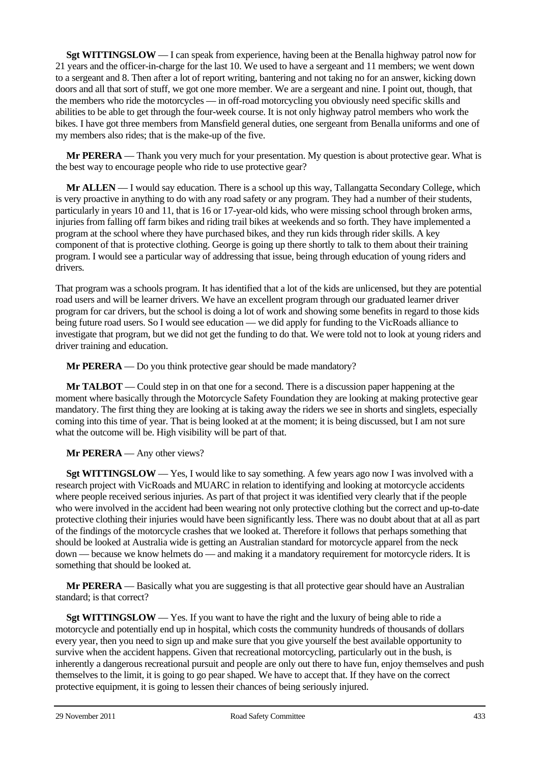**Sgt WITTINGSLOW** — I can speak from experience, having been at the Benalla highway patrol now for 21 years and the officer-in-charge for the last 10. We used to have a sergeant and 11 members; we went down to a sergeant and 8. Then after a lot of report writing, bantering and not taking no for an answer, kicking down doors and all that sort of stuff, we got one more member. We are a sergeant and nine. I point out, though, that the members who ride the motorcycles — in off-road motorcycling you obviously need specific skills and abilities to be able to get through the four-week course. It is not only highway patrol members who work the bikes. I have got three members from Mansfield general duties, one sergeant from Benalla uniforms and one of my members also rides; that is the make-up of the five.

**Mr PERERA** — Thank you very much for your presentation. My question is about protective gear. What is the best way to encourage people who ride to use protective gear?

**Mr ALLEN** — I would say education. There is a school up this way, Tallangatta Secondary College, which is very proactive in anything to do with any road safety or any program. They had a number of their students, particularly in years 10 and 11, that is 16 or 17-year-old kids, who were missing school through broken arms, injuries from falling off farm bikes and riding trail bikes at weekends and so forth. They have implemented a program at the school where they have purchased bikes, and they run kids through rider skills. A key component of that is protective clothing. George is going up there shortly to talk to them about their training program. I would see a particular way of addressing that issue, being through education of young riders and drivers.

That program was a schools program. It has identified that a lot of the kids are unlicensed, but they are potential road users and will be learner drivers. We have an excellent program through our graduated learner driver program for car drivers, but the school is doing a lot of work and showing some benefits in regard to those kids being future road users. So I would see education — we did apply for funding to the VicRoads alliance to investigate that program, but we did not get the funding to do that. We were told not to look at young riders and driver training and education.

**Mr PERERA** — Do you think protective gear should be made mandatory?

**Mr TALBOT** — Could step in on that one for a second. There is a discussion paper happening at the moment where basically through the Motorcycle Safety Foundation they are looking at making protective gear mandatory. The first thing they are looking at is taking away the riders we see in shorts and singlets, especially coming into this time of year. That is being looked at at the moment; it is being discussed, but I am not sure what the outcome will be. High visibility will be part of that.

**Mr PERERA** — Any other views?

**Sgt WITTINGSLOW** — Yes, I would like to say something. A few years ago now I was involved with a research project with VicRoads and MUARC in relation to identifying and looking at motorcycle accidents where people received serious injuries. As part of that project it was identified very clearly that if the people who were involved in the accident had been wearing not only protective clothing but the correct and up-to-date protective clothing their injuries would have been significantly less. There was no doubt about that at all as part of the findings of the motorcycle crashes that we looked at. Therefore it follows that perhaps something that should be looked at Australia wide is getting an Australian standard for motorcycle apparel from the neck down — because we know helmets do — and making it a mandatory requirement for motorcycle riders. It is something that should be looked at.

**Mr PERERA** — Basically what you are suggesting is that all protective gear should have an Australian standard; is that correct?

**Sgt WITTINGSLOW** — Yes. If you want to have the right and the luxury of being able to ride a motorcycle and potentially end up in hospital, which costs the community hundreds of thousands of dollars every year, then you need to sign up and make sure that you give yourself the best available opportunity to survive when the accident happens. Given that recreational motorcycling, particularly out in the bush, is inherently a dangerous recreational pursuit and people are only out there to have fun, enjoy themselves and push themselves to the limit, it is going to go pear shaped. We have to accept that. If they have on the correct protective equipment, it is going to lessen their chances of being seriously injured.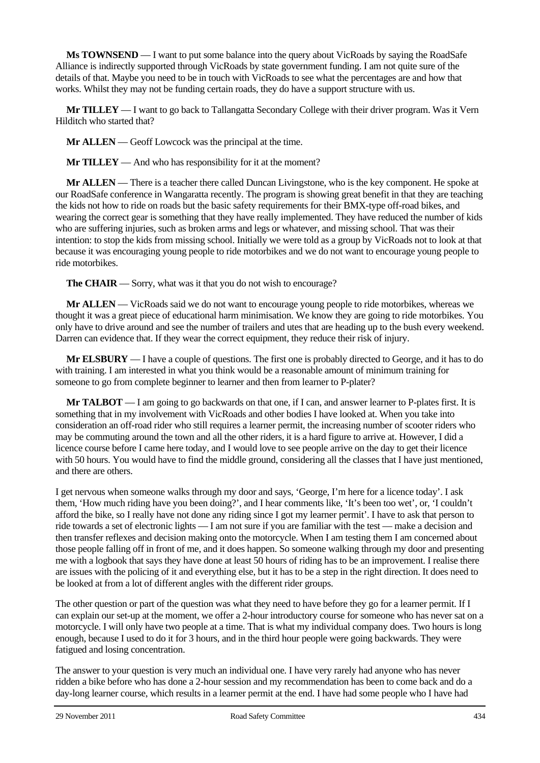**Ms TOWNSEND** — I want to put some balance into the query about VicRoads by saying the RoadSafe Alliance is indirectly supported through VicRoads by state government funding. I am not quite sure of the details of that. Maybe you need to be in touch with VicRoads to see what the percentages are and how that works. Whilst they may not be funding certain roads, they do have a support structure with us.

**Mr TILLEY** — I want to go back to Tallangatta Secondary College with their driver program. Was it Vern Hilditch who started that?

**Mr ALLEN** — Geoff Lowcock was the principal at the time.

**Mr TILLEY** — And who has responsibility for it at the moment?

**Mr ALLEN** — There is a teacher there called Duncan Livingstone, who is the key component. He spoke at our RoadSafe conference in Wangaratta recently. The program is showing great benefit in that they are teaching the kids not how to ride on roads but the basic safety requirements for their BMX-type off-road bikes, and wearing the correct gear is something that they have really implemented. They have reduced the number of kids who are suffering injuries, such as broken arms and legs or whatever, and missing school. That was their intention: to stop the kids from missing school. Initially we were told as a group by VicRoads not to look at that because it was encouraging young people to ride motorbikes and we do not want to encourage young people to ride motorbikes.

**The CHAIR** — Sorry, what was it that you do not wish to encourage?

**Mr ALLEN** — VicRoads said we do not want to encourage young people to ride motorbikes, whereas we thought it was a great piece of educational harm minimisation. We know they are going to ride motorbikes. You only have to drive around and see the number of trailers and utes that are heading up to the bush every weekend. Darren can evidence that. If they wear the correct equipment, they reduce their risk of injury.

**Mr ELSBURY** — I have a couple of questions. The first one is probably directed to George, and it has to do with training. I am interested in what you think would be a reasonable amount of minimum training for someone to go from complete beginner to learner and then from learner to P-plater?

**Mr TALBOT** — I am going to go backwards on that one, if I can, and answer learner to P-plates first. It is something that in my involvement with VicRoads and other bodies I have looked at. When you take into consideration an off-road rider who still requires a learner permit, the increasing number of scooter riders who may be commuting around the town and all the other riders, it is a hard figure to arrive at. However, I did a licence course before I came here today, and I would love to see people arrive on the day to get their licence with 50 hours. You would have to find the middle ground, considering all the classes that I have just mentioned, and there are others.

I get nervous when someone walks through my door and says, 'George, I'm here for a licence today'. I ask them, 'How much riding have you been doing?', and I hear comments like, 'It's been too wet', or, 'I couldn't afford the bike, so I really have not done any riding since I got my learner permit'. I have to ask that person to ride towards a set of electronic lights — I am not sure if you are familiar with the test — make a decision and then transfer reflexes and decision making onto the motorcycle. When I am testing them I am concerned about those people falling off in front of me, and it does happen. So someone walking through my door and presenting me with a logbook that says they have done at least 50 hours of riding has to be an improvement. I realise there are issues with the policing of it and everything else, but it has to be a step in the right direction. It does need to be looked at from a lot of different angles with the different rider groups.

The other question or part of the question was what they need to have before they go for a learner permit. If I can explain our set-up at the moment, we offer a 2-hour introductory course for someone who has never sat on a motorcycle. I will only have two people at a time. That is what my individual company does. Two hours is long enough, because I used to do it for 3 hours, and in the third hour people were going backwards. They were fatigued and losing concentration.

The answer to your question is very much an individual one. I have very rarely had anyone who has never ridden a bike before who has done a 2-hour session and my recommendation has been to come back and do a day-long learner course, which results in a learner permit at the end. I have had some people who I have had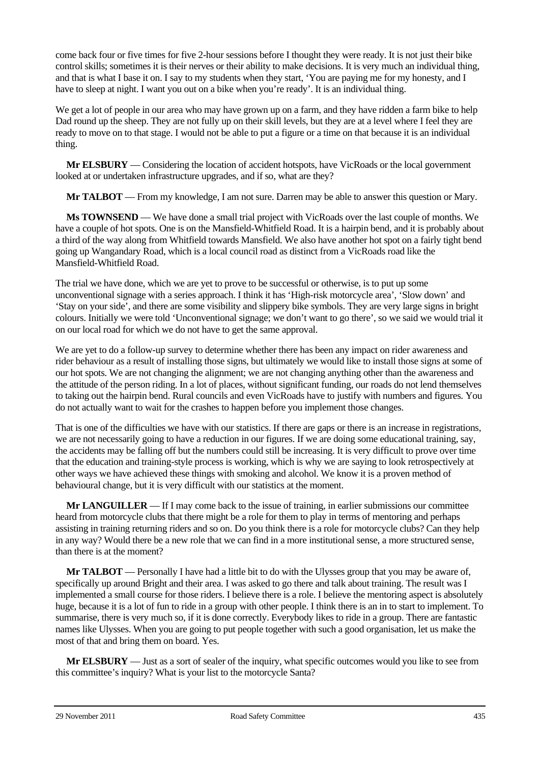come back four or five times for five 2-hour sessions before I thought they were ready. It is not just their bike control skills; sometimes it is their nerves or their ability to make decisions. It is very much an individual thing, and that is what I base it on. I say to my students when they start, 'You are paying me for my honesty, and I have to sleep at night. I want you out on a bike when you're ready'. It is an individual thing.

We get a lot of people in our area who may have grown up on a farm, and they have ridden a farm bike to help Dad round up the sheep. They are not fully up on their skill levels, but they are at a level where I feel they are ready to move on to that stage. I would not be able to put a figure or a time on that because it is an individual thing.

**Mr ELSBURY** — Considering the location of accident hotspots, have VicRoads or the local government looked at or undertaken infrastructure upgrades, and if so, what are they?

**Mr TALBOT** — From my knowledge, I am not sure. Darren may be able to answer this question or Mary.

**Ms TOWNSEND** — We have done a small trial project with VicRoads over the last couple of months. We have a couple of hot spots. One is on the Mansfield-Whitfield Road. It is a hairpin bend, and it is probably about a third of the way along from Whitfield towards Mansfield. We also have another hot spot on a fairly tight bend going up Wangandary Road, which is a local council road as distinct from a VicRoads road like the Mansfield-Whitfield Road.

The trial we have done, which we are yet to prove to be successful or otherwise, is to put up some unconventional signage with a series approach. I think it has 'High-risk motorcycle area', 'Slow down' and 'Stay on your side', and there are some visibility and slippery bike symbols. They are very large signs in bright colours. Initially we were told 'Unconventional signage; we don't want to go there', so we said we would trial it on our local road for which we do not have to get the same approval.

We are yet to do a follow-up survey to determine whether there has been any impact on rider awareness and rider behaviour as a result of installing those signs, but ultimately we would like to install those signs at some of our hot spots. We are not changing the alignment; we are not changing anything other than the awareness and the attitude of the person riding. In a lot of places, without significant funding, our roads do not lend themselves to taking out the hairpin bend. Rural councils and even VicRoads have to justify with numbers and figures. You do not actually want to wait for the crashes to happen before you implement those changes.

That is one of the difficulties we have with our statistics. If there are gaps or there is an increase in registrations, we are not necessarily going to have a reduction in our figures. If we are doing some educational training, say, the accidents may be falling off but the numbers could still be increasing. It is very difficult to prove over time that the education and training-style process is working, which is why we are saying to look retrospectively at other ways we have achieved these things with smoking and alcohol. We know it is a proven method of behavioural change, but it is very difficult with our statistics at the moment.

**Mr LANGUILLER** — If I may come back to the issue of training, in earlier submissions our committee heard from motorcycle clubs that there might be a role for them to play in terms of mentoring and perhaps assisting in training returning riders and so on. Do you think there is a role for motorcycle clubs? Can they help in any way? Would there be a new role that we can find in a more institutional sense, a more structured sense, than there is at the moment?

**Mr <b>TALBOT** — Personally I have had a little bit to do with the Ulysses group that you may be aware of, specifically up around Bright and their area. I was asked to go there and talk about training. The result was I implemented a small course for those riders. I believe there is a role. I believe the mentoring aspect is absolutely huge, because it is a lot of fun to ride in a group with other people. I think there is an in to start to implement. To summarise, there is very much so, if it is done correctly. Everybody likes to ride in a group. There are fantastic names like Ulysses. When you are going to put people together with such a good organisation, let us make the most of that and bring them on board. Yes.

**Mr ELSBURY** — Just as a sort of sealer of the inquiry, what specific outcomes would you like to see from this committee's inquiry? What is your list to the motorcycle Santa?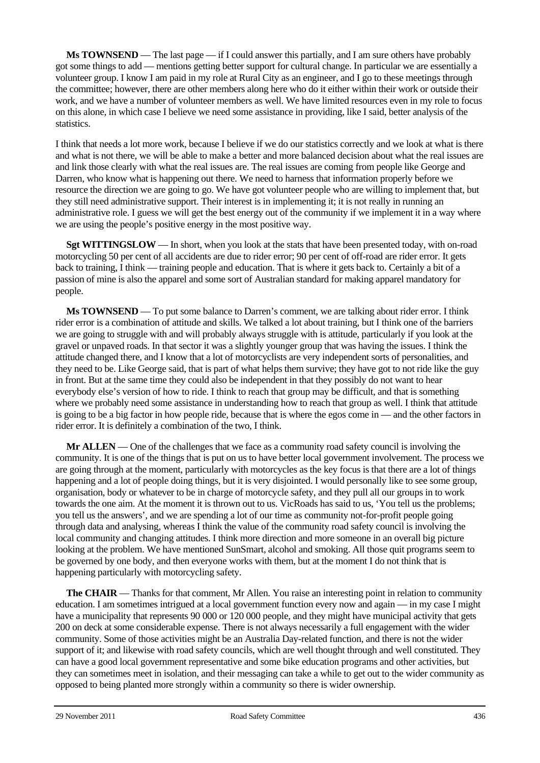**Ms TOWNSEND** — The last page — if I could answer this partially, and I am sure others have probably got some things to add — mentions getting better support for cultural change. In particular we are essentially a volunteer group. I know I am paid in my role at Rural City as an engineer, and I go to these meetings through the committee; however, there are other members along here who do it either within their work or outside their work, and we have a number of volunteer members as well. We have limited resources even in my role to focus on this alone, in which case I believe we need some assistance in providing, like I said, better analysis of the statistics.

I think that needs a lot more work, because I believe if we do our statistics correctly and we look at what is there and what is not there, we will be able to make a better and more balanced decision about what the real issues are and link those clearly with what the real issues are. The real issues are coming from people like George and Darren, who know what is happening out there. We need to harness that information properly before we resource the direction we are going to go. We have got volunteer people who are willing to implement that, but they still need administrative support. Their interest is in implementing it; it is not really in running an administrative role. I guess we will get the best energy out of the community if we implement it in a way where we are using the people's positive energy in the most positive way.

**Sgt WITTINGSLOW** — In short, when you look at the stats that have been presented today, with on-road motorcycling 50 per cent of all accidents are due to rider error; 90 per cent of off-road are rider error. It gets back to training, I think — training people and education. That is where it gets back to. Certainly a bit of a passion of mine is also the apparel and some sort of Australian standard for making apparel mandatory for people.

**Ms TOWNSEND** — To put some balance to Darren's comment, we are talking about rider error. I think rider error is a combination of attitude and skills. We talked a lot about training, but I think one of the barriers we are going to struggle with and will probably always struggle with is attitude, particularly if you look at the gravel or unpaved roads. In that sector it was a slightly younger group that was having the issues. I think the attitude changed there, and I know that a lot of motorcyclists are very independent sorts of personalities, and they need to be. Like George said, that is part of what helps them survive; they have got to not ride like the guy in front. But at the same time they could also be independent in that they possibly do not want to hear everybody else's version of how to ride. I think to reach that group may be difficult, and that is something where we probably need some assistance in understanding how to reach that group as well. I think that attitude is going to be a big factor in how people ride, because that is where the egos come in — and the other factors in rider error. It is definitely a combination of the two, I think.

**Mr ALLEN** — One of the challenges that we face as a community road safety council is involving the community. It is one of the things that is put on us to have better local government involvement. The process we are going through at the moment, particularly with motorcycles as the key focus is that there are a lot of things happening and a lot of people doing things, but it is very disjointed. I would personally like to see some group, organisation, body or whatever to be in charge of motorcycle safety, and they pull all our groups in to work towards the one aim. At the moment it is thrown out to us. VicRoads has said to us, 'You tell us the problems; you tell us the answers', and we are spending a lot of our time as community not-for-profit people going through data and analysing, whereas I think the value of the community road safety council is involving the local community and changing attitudes. I think more direction and more someone in an overall big picture looking at the problem. We have mentioned SunSmart, alcohol and smoking. All those quit programs seem to be governed by one body, and then everyone works with them, but at the moment I do not think that is happening particularly with motorcycling safety.

**The CHAIR** — Thanks for that comment, Mr Allen. You raise an interesting point in relation to community education. I am sometimes intrigued at a local government function every now and again — in my case I might have a municipality that represents 90 000 or 120 000 people, and they might have municipal activity that gets 200 on deck at some considerable expense. There is not always necessarily a full engagement with the wider community. Some of those activities might be an Australia Day-related function, and there is not the wider support of it; and likewise with road safety councils, which are well thought through and well constituted. They can have a good local government representative and some bike education programs and other activities, but they can sometimes meet in isolation, and their messaging can take a while to get out to the wider community as opposed to being planted more strongly within a community so there is wider ownership.